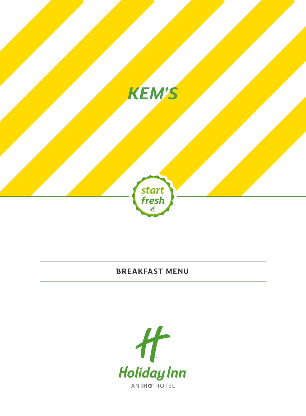

## **BREAKFAST MENU**